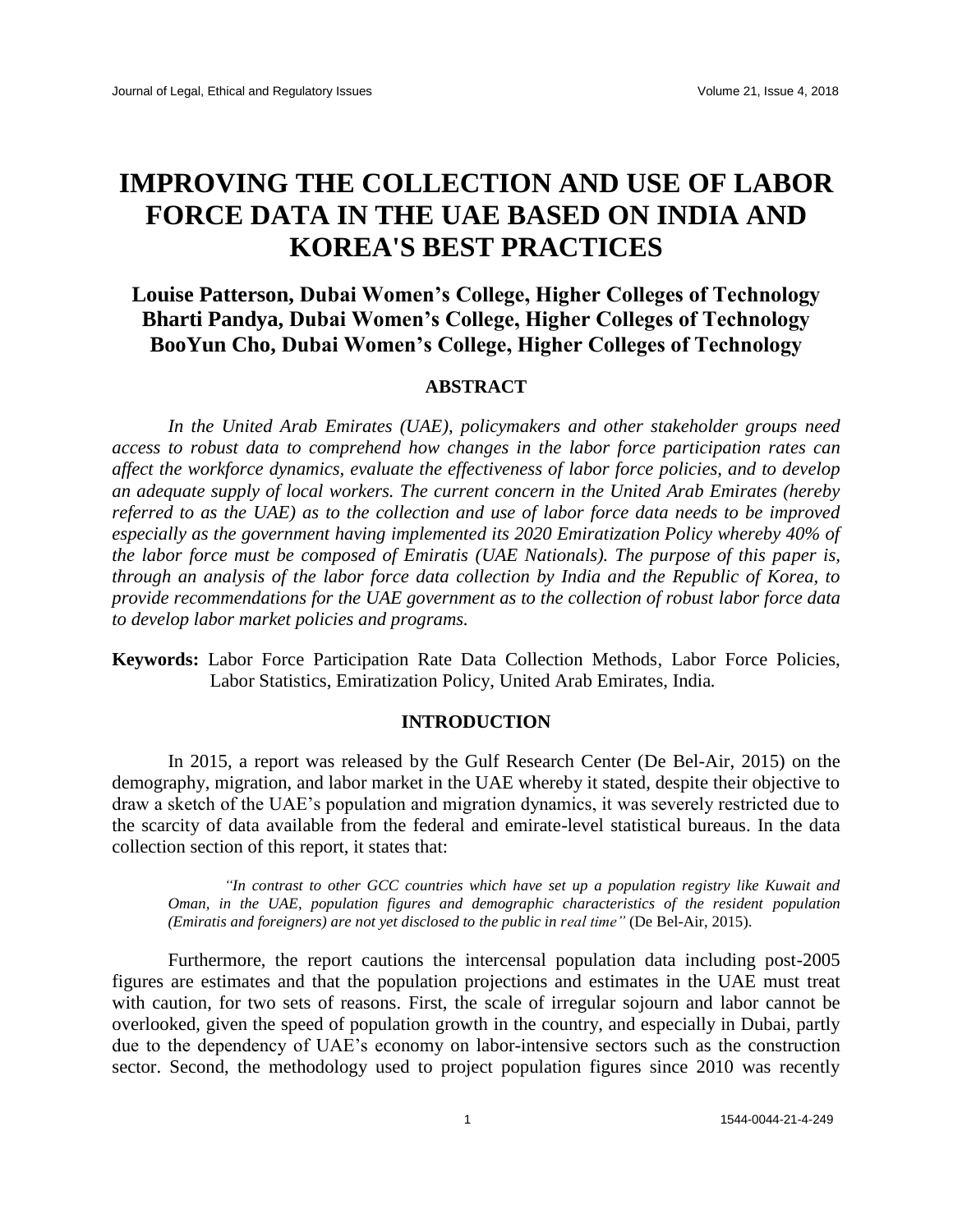# **IMPROVING THE COLLECTION AND USE OF LABOR FORCE DATA IN THE UAE BASED ON INDIA AND KOREA'S BEST PRACTICES**

# **Louise Patterson, Dubai Women's College, Higher Colleges of Technology Bharti Pandya, Dubai Women's College, Higher Colleges of Technology BooYun Cho, Dubai Women's College, Higher Colleges of Technology**

# **ABSTRACT**

*In the United Arab Emirates (UAE), policymakers and other stakeholder groups need access to robust data to comprehend how changes in the labor force participation rates can affect the workforce dynamics, evaluate the effectiveness of labor force policies, and to develop an adequate supply of local workers. The current concern in the United Arab Emirates (hereby referred to as the UAE) as to the collection and use of labor force data needs to be improved especially as the government having implemented its 2020 Emiratization Policy whereby 40% of the labor force must be composed of Emiratis (UAE Nationals). The purpose of this paper is, through an analysis of the labor force data collection by India and the Republic of Korea, to provide recommendations for the UAE government as to the collection of robust labor force data to develop labor market policies and programs.*

**Keywords:** Labor Force Participation Rate Data Collection Methods, Labor Force Policies, Labor Statistics, Emiratization Policy, United Arab Emirates, India*.*

# **INTRODUCTION**

In 2015, a report was released by the Gulf Research Center (De Bel-Air, 2015) on the demography, migration, and labor market in the UAE whereby it stated, despite their objective to draw a sketch of the UAE's population and migration dynamics, it was severely restricted due to the scarcity of data available from the federal and emirate-level statistical bureaus. In the data collection section of this report, it states that:

*"In contrast to other GCC countries which have set up a population registry like Kuwait and Oman, in the UAE, population figures and demographic characteristics of the resident population (Emiratis and foreigners) are not yet disclosed to the public in real time"* (De Bel-Air, 2015).

Furthermore, the report cautions the intercensal population data including post-2005 figures are estimates and that the population projections and estimates in the UAE must treat with caution, for two sets of reasons. First, the scale of irregular sojourn and labor cannot be overlooked, given the speed of population growth in the country, and especially in Dubai, partly due to the dependency of UAE's economy on labor-intensive sectors such as the construction sector. Second, the methodology used to project population figures since 2010 was recently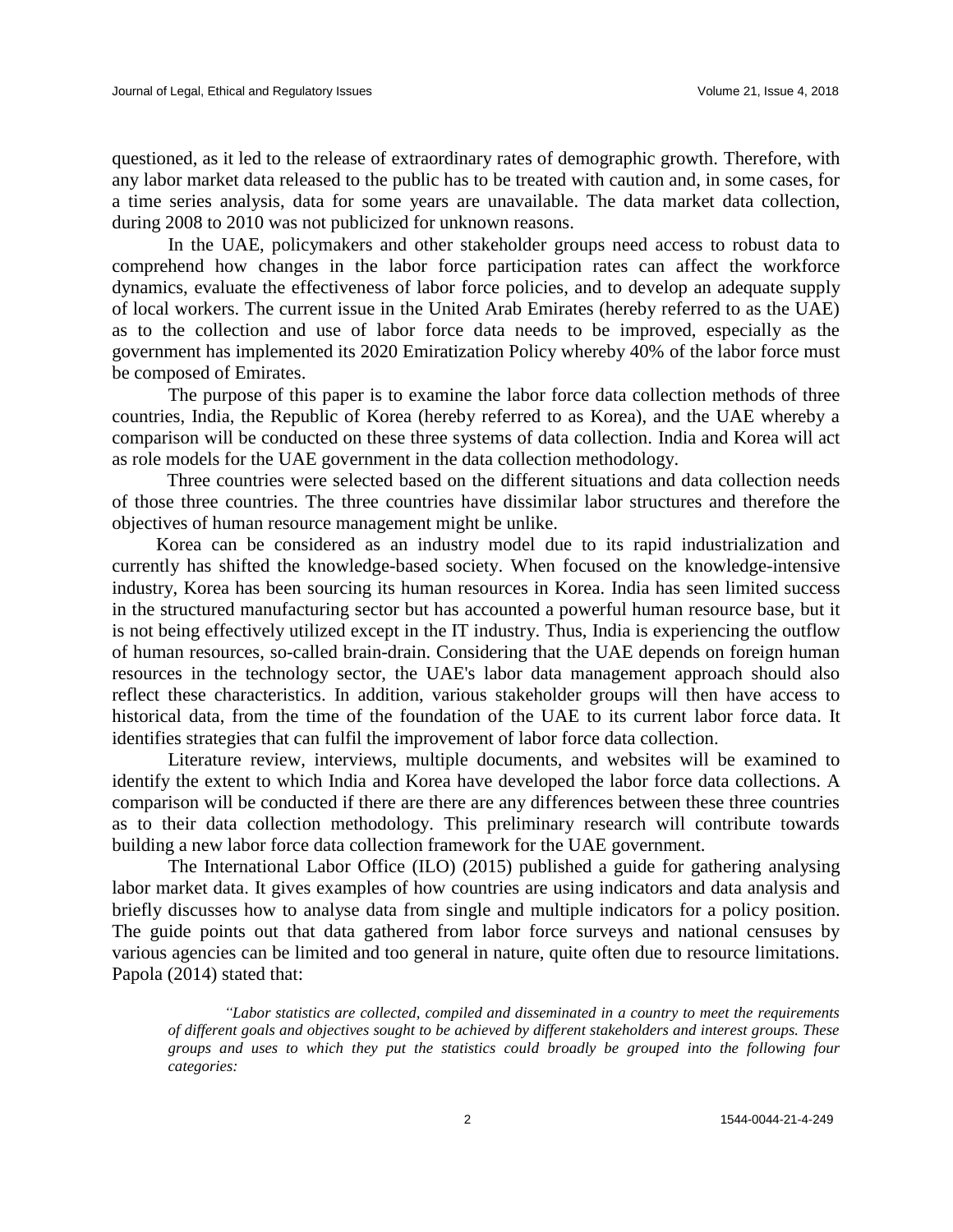questioned, as it led to the release of extraordinary rates of demographic growth. Therefore, with any labor market data released to the public has to be treated with caution and, in some cases, for a time series analysis, data for some years are unavailable. The data market data collection, during 2008 to 2010 was not publicized for unknown reasons.

In the UAE, policymakers and other stakeholder groups need access to robust data to comprehend how changes in the labor force participation rates can affect the workforce dynamics, evaluate the effectiveness of labor force policies, and to develop an adequate supply of local workers. The current issue in the United Arab Emirates (hereby referred to as the UAE) as to the collection and use of labor force data needs to be improved, especially as the government has implemented its 2020 Emiratization Policy whereby 40% of the labor force must be composed of Emirates.

The purpose of this paper is to examine the labor force data collection methods of three countries, India, the Republic of Korea (hereby referred to as Korea), and the UAE whereby a comparison will be conducted on these three systems of data collection. India and Korea will act as role models for the UAE government in the data collection methodology.

Three countries were selected based on the different situations and data collection needs of those three countries. The three countries have dissimilar labor structures and therefore the objectives of human resource management might be unlike.

Korea can be considered as an industry model due to its rapid industrialization and currently has shifted the knowledge-based society. When focused on the knowledge-intensive industry, Korea has been sourcing its human resources in Korea. India has seen limited success in the structured manufacturing sector but has accounted a powerful human resource base, but it is not being effectively utilized except in the IT industry. Thus, India is experiencing the outflow of human resources, so-called brain-drain. Considering that the UAE depends on foreign human resources in the technology sector, the UAE's labor data management approach should also reflect these characteristics. In addition, various stakeholder groups will then have access to historical data, from the time of the foundation of the UAE to its current labor force data. It identifies strategies that can fulfil the improvement of labor force data collection.

Literature review, interviews, multiple documents, and websites will be examined to identify the extent to which India and Korea have developed the labor force data collections. A comparison will be conducted if there are there are any differences between these three countries as to their data collection methodology. This preliminary research will contribute towards building a new labor force data collection framework for the UAE government.

The International Labor Office (ILO) (2015) published a guide for gathering analysing labor market data. It gives examples of how countries are using indicators and data analysis and briefly discusses how to analyse data from single and multiple indicators for a policy position. The guide points out that data gathered from labor force surveys and national censuses by various agencies can be limited and too general in nature, quite often due to resource limitations. Papola (2014) stated that:

*"Labor statistics are collected, compiled and disseminated in a country to meet the requirements of different goals and objectives sought to be achieved by different stakeholders and interest groups. These groups and uses to which they put the statistics could broadly be grouped into the following four categories:*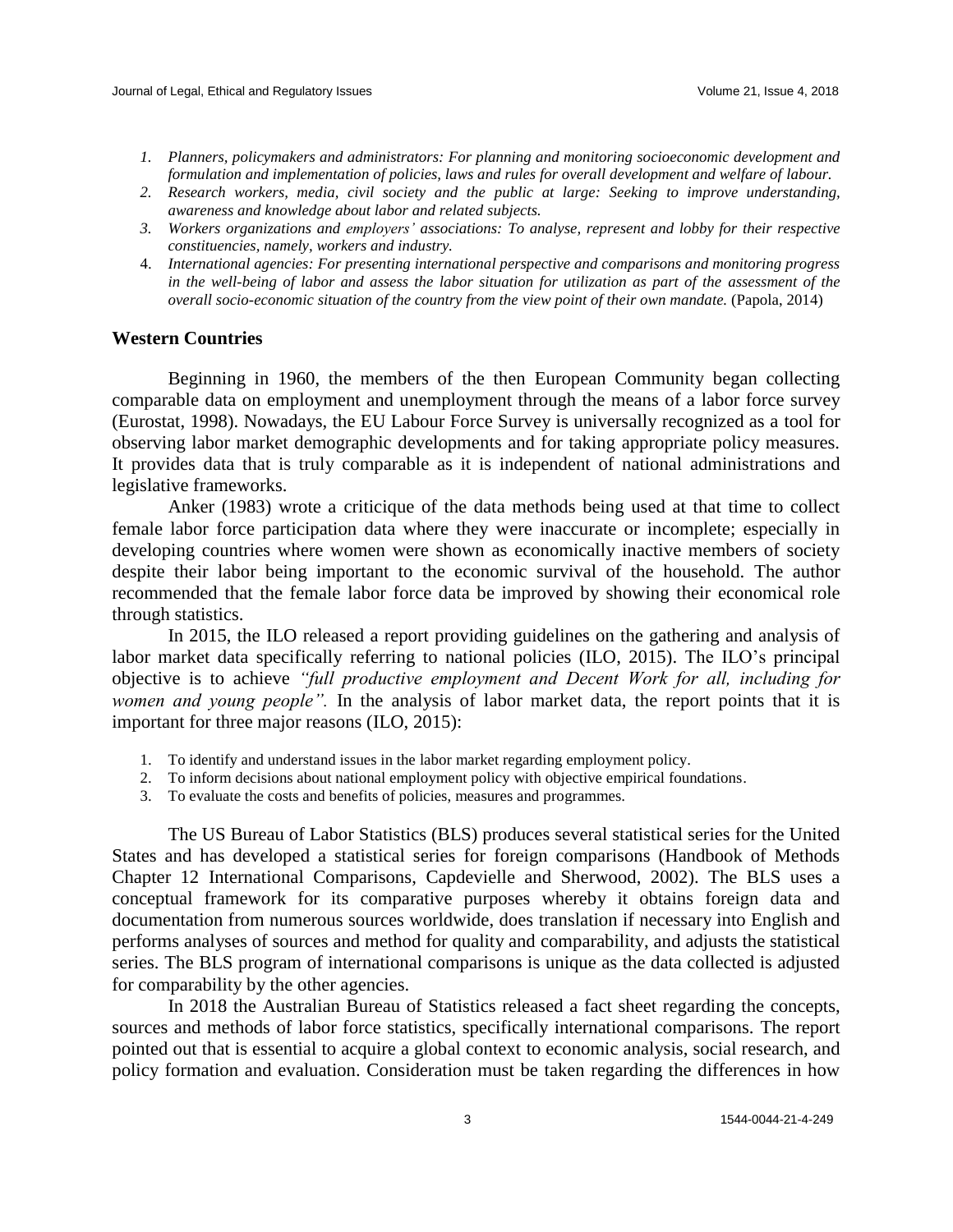- *1. Planners, policymakers and administrators: For planning and monitoring socioeconomic development and formulation and implementation of policies, laws and rules for overall development and welfare of labour.*
- *2. Research workers, media, civil society and the public at large: Seeking to improve understanding, awareness and knowledge about labor and related subjects.*
- *3. Workers organizations and employers' associations: To analyse, represent and lobby for their respective constituencies, namely, workers and industry.*
- 4. *International agencies: For presenting international perspective and comparisons and monitoring progress in the well-being of labor and assess the labor situation for utilization as part of the assessment of the overall socio-economic situation of the country from the view point of their own mandate.* (Papola, 2014)

# **Western Countries**

Beginning in 1960, the members of the then European Community began collecting comparable data on employment and unemployment through the means of a labor force survey (Eurostat, 1998). Nowadays, the EU Labour Force Survey is universally recognized as a tool for observing labor market demographic developments and for taking appropriate policy measures. It provides data that is truly comparable as it is independent of national administrations and legislative frameworks.

Anker (1983) wrote a criticique of the data methods being used at that time to collect female labor force participation data where they were inaccurate or incomplete; especially in developing countries where women were shown as economically inactive members of society despite their labor being important to the economic survival of the household. The author recommended that the female labor force data be improved by showing their economical role through statistics.

In 2015, the ILO released a report providing guidelines on the gathering and analysis of labor market data specifically referring to national policies (ILO, 2015). The ILO's principal objective is to achieve *"full productive employment and Decent Work for all, including for women and young people".* In the analysis of labor market data, the report points that it is important for three major reasons (ILO, 2015):

- 1. To identify and understand issues in the labor market regarding employment policy.
- 2. To inform decisions about national employment policy with objective empirical foundations.
- 3. To evaluate the costs and benefits of policies, measures and programmes.

The US Bureau of Labor Statistics (BLS) produces several statistical series for the United States and has developed a statistical series for foreign comparisons (Handbook of Methods Chapter 12 International Comparisons, Capdevielle and Sherwood, 2002). The BLS uses a conceptual framework for its comparative purposes whereby it obtains foreign data and documentation from numerous sources worldwide, does translation if necessary into English and performs analyses of sources and method for quality and comparability, and adjusts the statistical series. The BLS program of international comparisons is unique as the data collected is adjusted for comparability by the other agencies.

In 2018 the Australian Bureau of Statistics released a fact sheet regarding the concepts, sources and methods of labor force statistics, specifically international comparisons. The report pointed out that is essential to acquire a global context to economic analysis, social research, and policy formation and evaluation. Consideration must be taken regarding the differences in how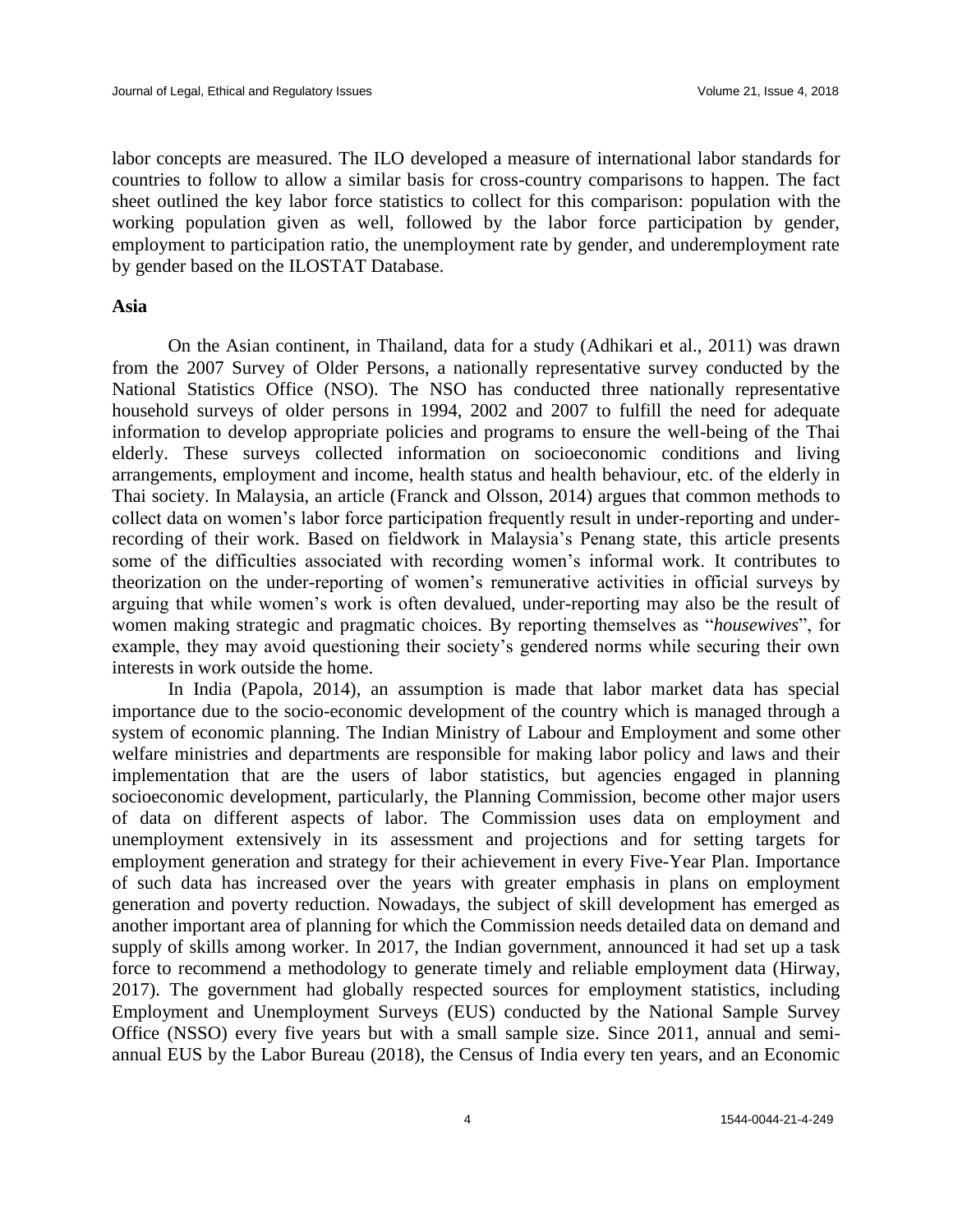labor concepts are measured. The ILO developed a measure of international labor standards for countries to follow to allow a similar basis for cross-country comparisons to happen. The fact sheet outlined the key labor force statistics to collect for this comparison: population with the working population given as well, followed by the labor force participation by gender, employment to participation ratio, the unemployment rate by gender, and underemployment rate by gender based on the ILOSTAT Database.

# **Asia**

On the Asian continent, in Thailand, data for a study (Adhikari et al., 2011) was drawn from the 2007 Survey of Older Persons, a nationally representative survey conducted by the National Statistics Office (NSO). The NSO has conducted three nationally representative household surveys of older persons in 1994, 2002 and 2007 to fulfill the need for adequate information to develop appropriate policies and programs to ensure the well-being of the Thai elderly. These surveys collected information on socioeconomic conditions and living arrangements, employment and income, health status and health behaviour, etc. of the elderly in Thai society. In Malaysia, an article (Franck and Olsson, 2014) argues that common methods to collect data on women's labor force participation frequently result in under-reporting and underrecording of their work. Based on fieldwork in Malaysia's Penang state, this article presents some of the difficulties associated with recording women's informal work. It contributes to theorization on the under-reporting of women's remunerative activities in official surveys by arguing that while women's work is often devalued, under-reporting may also be the result of women making strategic and pragmatic choices. By reporting themselves as "*housewives*", for example, they may avoid questioning their society's gendered norms while securing their own interests in work outside the home.

In India (Papola, 2014), an assumption is made that labor market data has special importance due to the socio-economic development of the country which is managed through a system of economic planning. The Indian Ministry of Labour and Employment and some other welfare ministries and departments are responsible for making labor policy and laws and their implementation that are the users of labor statistics, but agencies engaged in planning socioeconomic development, particularly, the Planning Commission, become other major users of data on different aspects of labor. The Commission uses data on employment and unemployment extensively in its assessment and projections and for setting targets for employment generation and strategy for their achievement in every Five-Year Plan. Importance of such data has increased over the years with greater emphasis in plans on employment generation and poverty reduction. Nowadays, the subject of skill development has emerged as another important area of planning for which the Commission needs detailed data on demand and supply of skills among worker. In 2017, the Indian government, announced it had set up a task force to recommend a methodology to generate timely and reliable employment data (Hirway, 2017). The government had globally respected sources for employment statistics, including Employment and Unemployment Surveys (EUS) conducted by the National Sample Survey Office (NSSO) every five years but with a small sample size. Since 2011, annual and semiannual EUS by the Labor Bureau (2018), the Census of India every ten years, and an Economic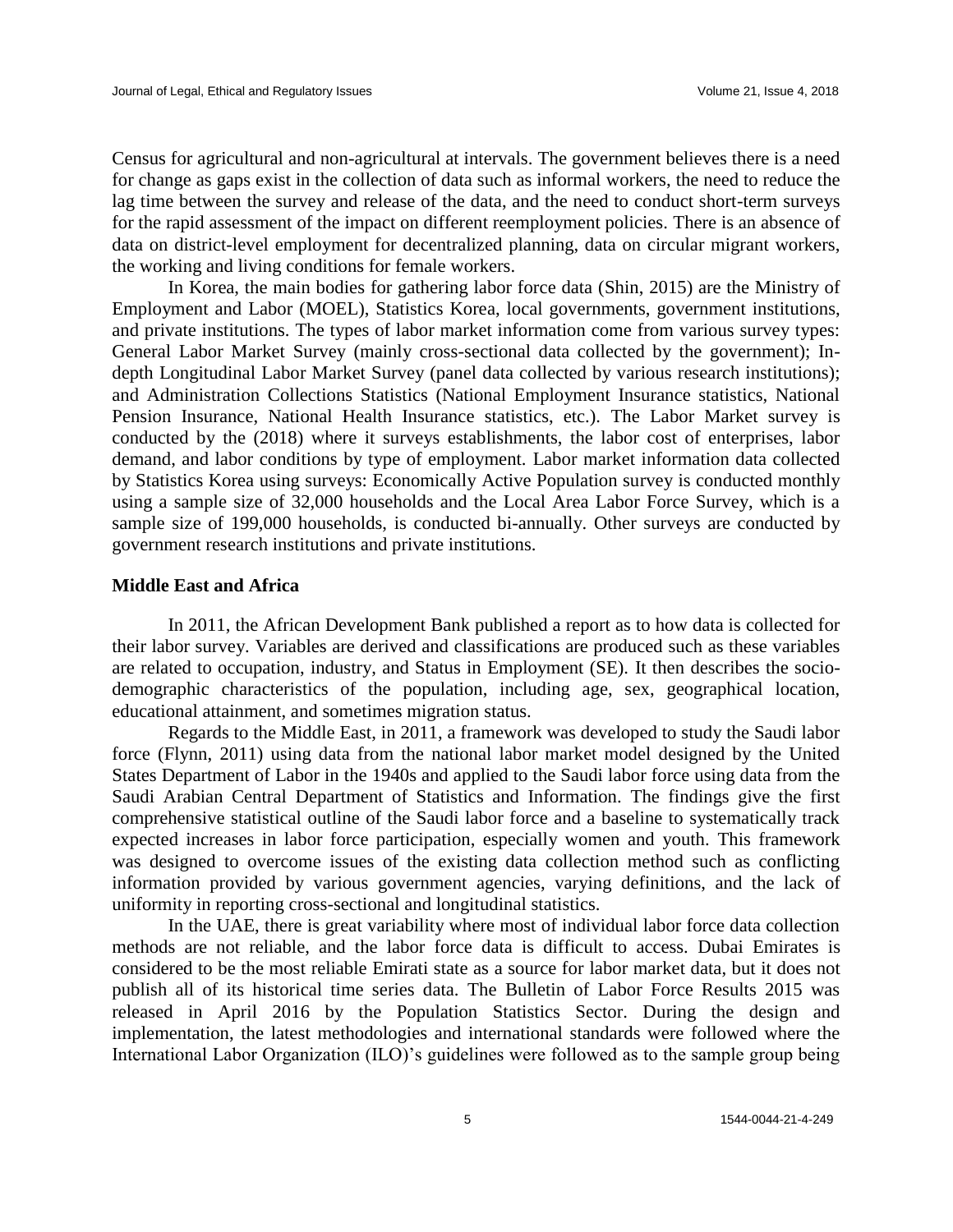Census for agricultural and non-agricultural at intervals. The government believes there is a need for change as gaps exist in the collection of data such as informal workers, the need to reduce the lag time between the survey and release of the data, and the need to conduct short-term surveys for the rapid assessment of the impact on different reemployment policies. There is an absence of data on district-level employment for decentralized planning, data on circular migrant workers, the working and living conditions for female workers.

In Korea, the main bodies for gathering labor force data (Shin, 2015) are the Ministry of Employment and Labor (MOEL), Statistics Korea, local governments, government institutions, and private institutions. The types of labor market information come from various survey types: General Labor Market Survey (mainly cross-sectional data collected by the government); Indepth Longitudinal Labor Market Survey (panel data collected by various research institutions); and Administration Collections Statistics (National Employment Insurance statistics, National Pension Insurance, National Health Insurance statistics, etc.). The Labor Market survey is conducted by the (2018) where it surveys establishments, the labor cost of enterprises, labor demand, and labor conditions by type of employment. Labor market information data collected by Statistics Korea using surveys: Economically Active Population survey is conducted monthly using a sample size of 32,000 households and the Local Area Labor Force Survey, which is a sample size of 199,000 households, is conducted bi-annually. Other surveys are conducted by government research institutions and private institutions.

#### **Middle East and Africa**

In 2011, the African Development Bank published a report as to how data is collected for their labor survey. Variables are derived and classifications are produced such as these variables are related to occupation, industry, and Status in Employment (SE). It then describes the sociodemographic characteristics of the population, including age, sex, geographical location, educational attainment, and sometimes migration status.

Regards to the Middle East, in 2011, a framework was developed to study the Saudi labor force (Flynn, 2011) using data from the national labor market model designed by the United States Department of Labor in the 1940s and applied to the Saudi labor force using data from the Saudi Arabian Central Department of Statistics and Information. The findings give the first comprehensive statistical outline of the Saudi labor force and a baseline to systematically track expected increases in labor force participation, especially women and youth. This framework was designed to overcome issues of the existing data collection method such as conflicting information provided by various government agencies, varying definitions, and the lack of uniformity in reporting cross-sectional and longitudinal statistics.

In the UAE, there is great variability where most of individual labor force data collection methods are not reliable, and the labor force data is difficult to access. Dubai Emirates is considered to be the most reliable Emirati state as a source for labor market data, but it does not publish all of its historical time series data. The Bulletin of Labor Force Results 2015 was released in April 2016 by the Population Statistics Sector. During the design and implementation, the latest methodologies and international standards were followed where the International Labor Organization (ILO)'s guidelines were followed as to the sample group being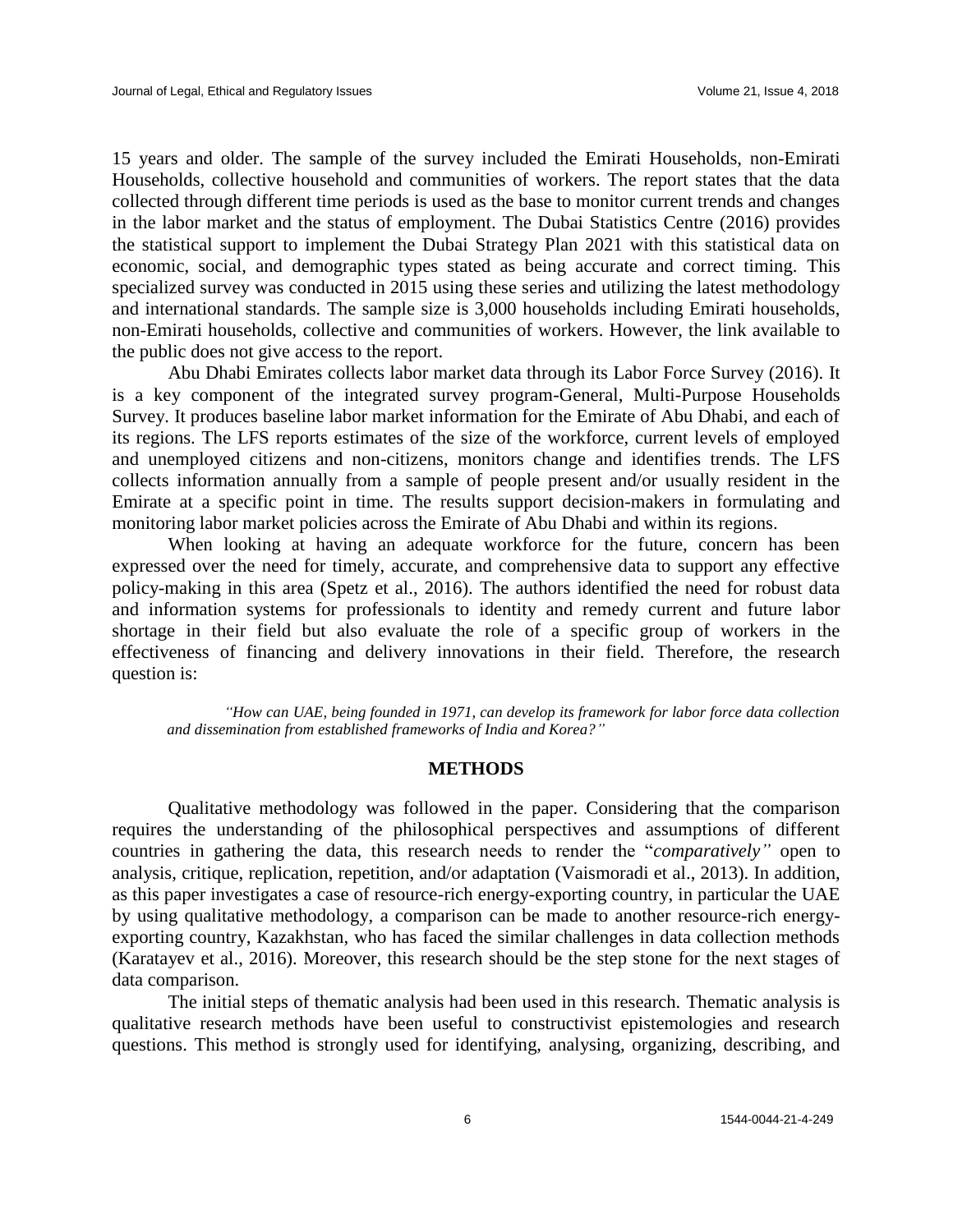15 years and older. The sample of the survey included the Emirati Households, non-Emirati Households, collective household and communities of workers. The report states that the data collected through different time periods is used as the base to monitor current trends and changes in the labor market and the status of employment. The Dubai Statistics Centre (2016) provides the statistical support to implement the Dubai Strategy Plan 2021 with this statistical data on economic, social, and demographic types stated as being accurate and correct timing. This specialized survey was conducted in 2015 using these series and utilizing the latest methodology and international standards. The sample size is 3,000 households including Emirati households, non-Emirati households, collective and communities of workers. However, the link available to the public does not give access to the report.

Abu Dhabi Emirates collects labor market data through its Labor Force Survey (2016). It is a key component of the integrated survey program-General, Multi-Purpose Households Survey. It produces baseline labor market information for the Emirate of Abu Dhabi, and each of its regions. The LFS reports estimates of the size of the workforce, current levels of employed and unemployed citizens and non-citizens, monitors change and identifies trends. The LFS collects information annually from a sample of people present and/or usually resident in the Emirate at a specific point in time. The results support decision-makers in formulating and monitoring labor market policies across the Emirate of Abu Dhabi and within its regions.

When looking at having an adequate workforce for the future, concern has been expressed over the need for timely, accurate, and comprehensive data to support any effective policy-making in this area (Spetz et al., 2016). The authors identified the need for robust data and information systems for professionals to identity and remedy current and future labor shortage in their field but also evaluate the role of a specific group of workers in the effectiveness of financing and delivery innovations in their field. Therefore, the research question is:

*"How can UAE, being founded in 1971, can develop its framework for labor force data collection and dissemination from established frameworks of India and Korea?"*

#### **METHODS**

Qualitative methodology was followed in the paper. Considering that the comparison requires the understanding of the philosophical perspectives and assumptions of different countries in gathering the data, this research needs to render the "*comparatively"* open to analysis, critique, replication, repetition, and/or adaptation (Vaismoradi et al., 2013). In addition, as this paper investigates a case of resource-rich energy-exporting country, in particular the UAE by using qualitative methodology, a comparison can be made to another resource-rich energyexporting country, Kazakhstan, who has faced the similar challenges in data collection methods (Karatayev et al., 2016). Moreover, this research should be the step stone for the next stages of data comparison.

The initial steps of thematic analysis had been used in this research. Thematic analysis is qualitative research methods have been useful to constructivist epistemologies and research questions. This method is strongly used for identifying, analysing, organizing, describing, and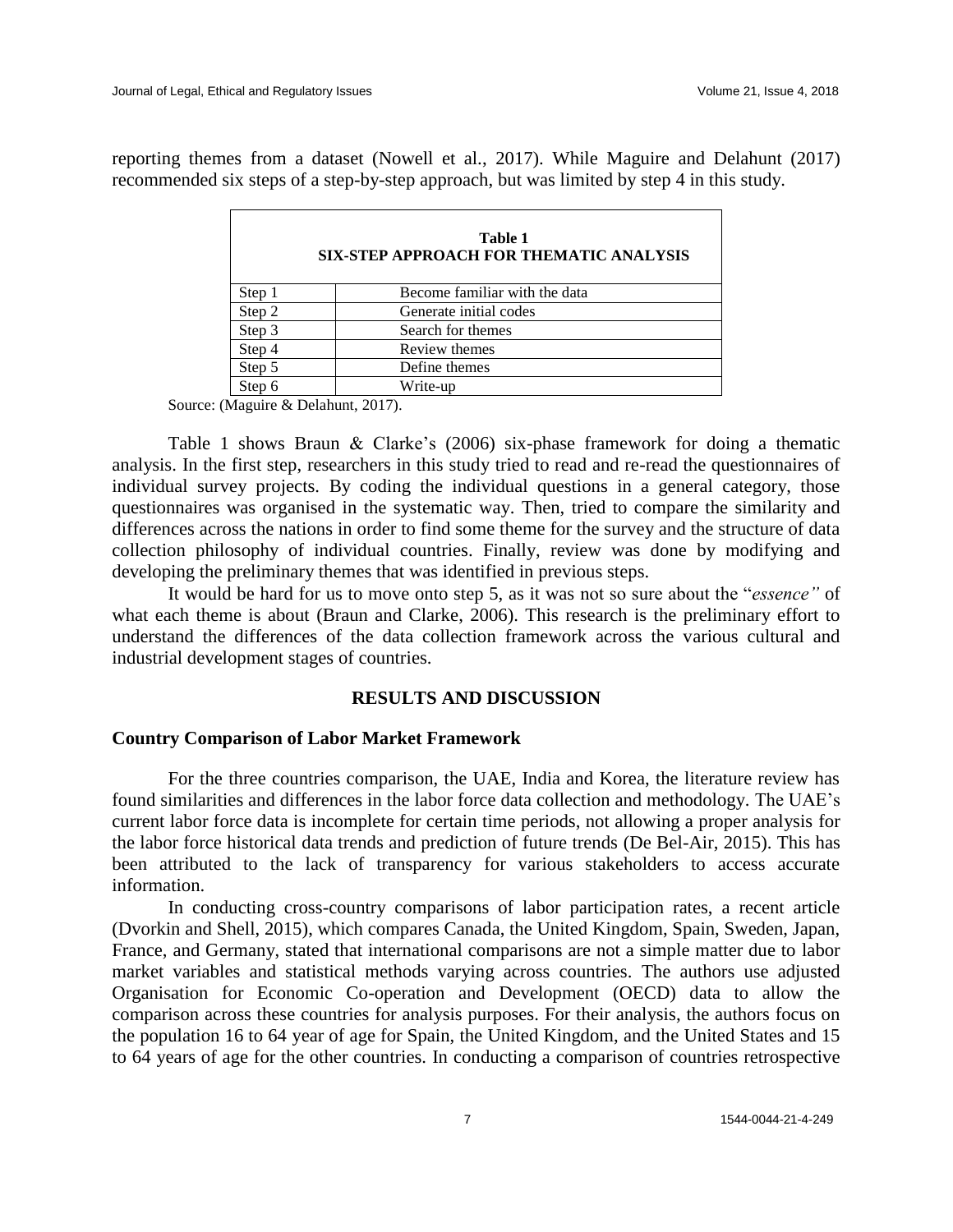reporting themes from a dataset (Nowell et al., 2017). While Maguire and Delahunt (2017) recommended six steps of a step-by-step approach, but was limited by step 4 in this study.

|        | Table 1<br><b>SIX-STEP APPROACH FOR THEMATIC ANALYSIS</b> |  |  |  |  |  |
|--------|-----------------------------------------------------------|--|--|--|--|--|
| Step 1 | Become familiar with the data                             |  |  |  |  |  |
| Step 2 | Generate initial codes                                    |  |  |  |  |  |
| Step 3 | Search for themes                                         |  |  |  |  |  |
| Step 4 | Review themes                                             |  |  |  |  |  |
| Step 5 | Define themes                                             |  |  |  |  |  |
| Step 6 | Write-up                                                  |  |  |  |  |  |

Source: (Maguire & Delahunt, 2017).

Table 1 shows Braun & Clarke's (2006) six-phase framework for doing a thematic analysis. In the first step, researchers in this study tried to read and re-read the questionnaires of individual survey projects. By coding the individual questions in a general category, those questionnaires was organised in the systematic way. Then, tried to compare the similarity and differences across the nations in order to find some theme for the survey and the structure of data collection philosophy of individual countries. Finally, review was done by modifying and developing the preliminary themes that was identified in previous steps.

It would be hard for us to move onto step 5, as it was not so sure about the "*essence"* of what each theme is about (Braun and Clarke, 2006). This research is the preliminary effort to understand the differences of the data collection framework across the various cultural and industrial development stages of countries.

# **RESULTS AND DISCUSSION**

# **Country Comparison of Labor Market Framework**

For the three countries comparison, the UAE, India and Korea, the literature review has found similarities and differences in the labor force data collection and methodology. The UAE's current labor force data is incomplete for certain time periods, not allowing a proper analysis for the labor force historical data trends and prediction of future trends (De Bel-Air, 2015). This has been attributed to the lack of transparency for various stakeholders to access accurate information.

In conducting cross-country comparisons of labor participation rates, a recent article (Dvorkin and Shell, 2015), which compares Canada, the United Kingdom, Spain, Sweden, Japan, France, and Germany, stated that international comparisons are not a simple matter due to labor market variables and statistical methods varying across countries. The authors use adjusted Organisation for Economic Co-operation and Development (OECD) data to allow the comparison across these countries for analysis purposes. For their analysis, the authors focus on the population 16 to 64 year of age for Spain, the United Kingdom, and the United States and 15 to 64 years of age for the other countries. In conducting a comparison of countries retrospective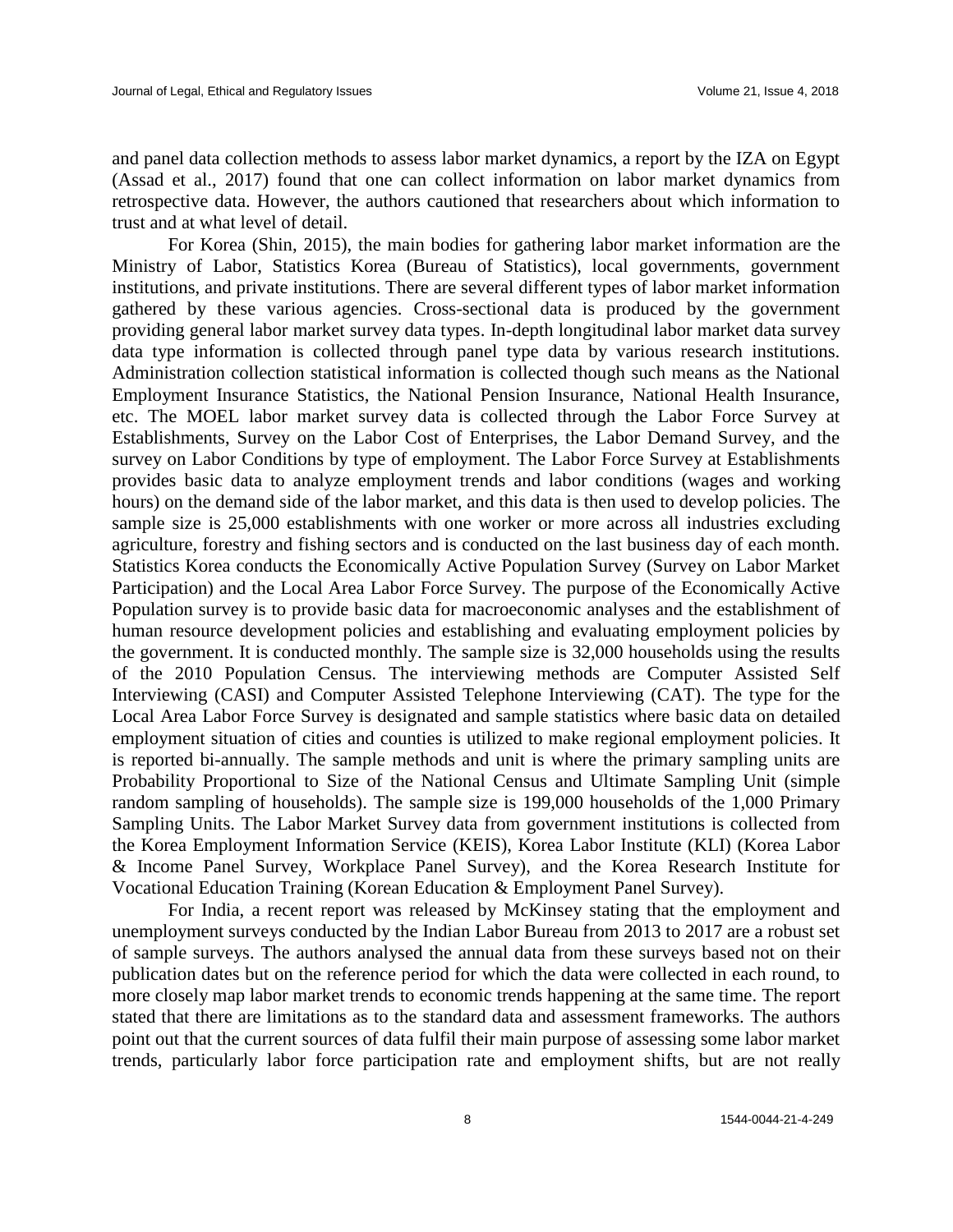and panel data collection methods to assess labor market dynamics, a report by the IZA on Egypt (Assad et al., 2017) found that one can collect information on labor market dynamics from retrospective data. However, the authors cautioned that researchers about which information to trust and at what level of detail.

For Korea (Shin, 2015), the main bodies for gathering labor market information are the Ministry of Labor, Statistics Korea (Bureau of Statistics), local governments, government institutions, and private institutions. There are several different types of labor market information gathered by these various agencies. Cross-sectional data is produced by the government providing general labor market survey data types. In-depth longitudinal labor market data survey data type information is collected through panel type data by various research institutions. Administration collection statistical information is collected though such means as the National Employment Insurance Statistics, the National Pension Insurance, National Health Insurance, etc. The MOEL labor market survey data is collected through the Labor Force Survey at Establishments, Survey on the Labor Cost of Enterprises, the Labor Demand Survey, and the survey on Labor Conditions by type of employment. The Labor Force Survey at Establishments provides basic data to analyze employment trends and labor conditions (wages and working hours) on the demand side of the labor market, and this data is then used to develop policies. The sample size is 25,000 establishments with one worker or more across all industries excluding agriculture, forestry and fishing sectors and is conducted on the last business day of each month. Statistics Korea conducts the Economically Active Population Survey (Survey on Labor Market Participation) and the Local Area Labor Force Survey. The purpose of the Economically Active Population survey is to provide basic data for macroeconomic analyses and the establishment of human resource development policies and establishing and evaluating employment policies by the government. It is conducted monthly. The sample size is 32,000 households using the results of the 2010 Population Census. The interviewing methods are Computer Assisted Self Interviewing (CASI) and Computer Assisted Telephone Interviewing (CAT). The type for the Local Area Labor Force Survey is designated and sample statistics where basic data on detailed employment situation of cities and counties is utilized to make regional employment policies. It is reported bi-annually. The sample methods and unit is where the primary sampling units are Probability Proportional to Size of the National Census and Ultimate Sampling Unit (simple random sampling of households). The sample size is 199,000 households of the 1,000 Primary Sampling Units. The Labor Market Survey data from government institutions is collected from the Korea Employment Information Service (KEIS), Korea Labor Institute (KLI) (Korea Labor & Income Panel Survey, Workplace Panel Survey), and the Korea Research Institute for Vocational Education Training (Korean Education & Employment Panel Survey).

For India, a recent report was released by McKinsey stating that the employment and unemployment surveys conducted by the Indian Labor Bureau from 2013 to 2017 are a robust set of sample surveys. The authors analysed the annual data from these surveys based not on their publication dates but on the reference period for which the data were collected in each round, to more closely map labor market trends to economic trends happening at the same time. The report stated that there are limitations as to the standard data and assessment frameworks. The authors point out that the current sources of data fulfil their main purpose of assessing some labor market trends, particularly labor force participation rate and employment shifts, but are not really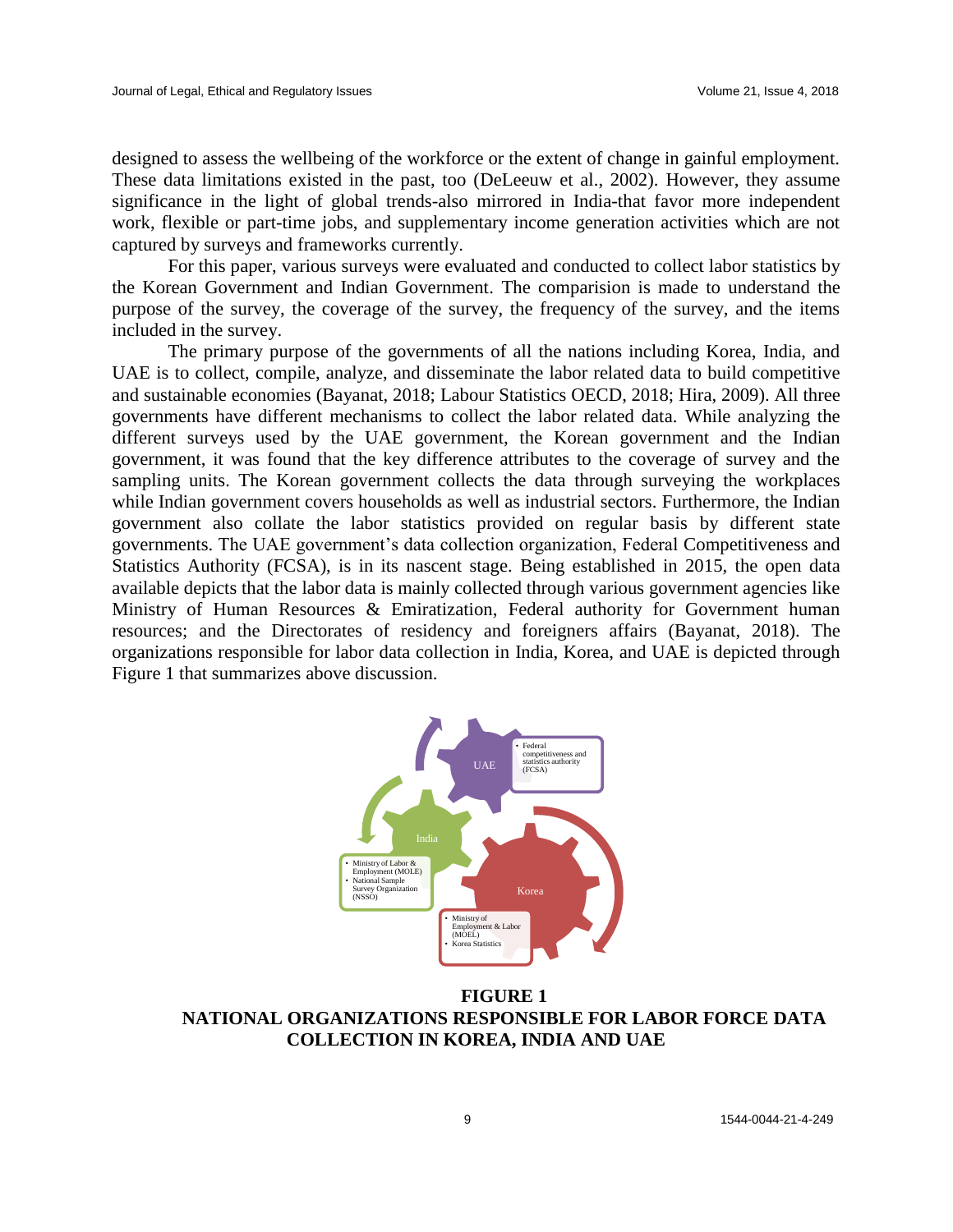designed to assess the wellbeing of the workforce or the extent of change in gainful employment. These data limitations existed in the past, too (DeLeeuw et al., 2002). However, they assume significance in the light of global trends-also mirrored in India-that favor more independent work, flexible or part-time jobs, and supplementary income generation activities which are not captured by surveys and frameworks currently.

For this paper, various surveys were evaluated and conducted to collect labor statistics by the Korean Government and Indian Government. The comparision is made to understand the purpose of the survey, the coverage of the survey, the frequency of the survey, and the items included in the survey.

The primary purpose of the governments of all the nations including Korea, India, and UAE is to collect, compile, analyze, and disseminate the labor related data to build competitive and sustainable economies (Bayanat, 2018; Labour Statistics OECD, 2018; Hira, 2009). All three governments have different mechanisms to collect the labor related data. While analyzing the different surveys used by the UAE government, the Korean government and the Indian government, it was found that the key difference attributes to the coverage of survey and the sampling units. The Korean government collects the data through surveying the workplaces while Indian government covers households as well as industrial sectors. Furthermore, the Indian government also collate the labor statistics provided on regular basis by different state governments. The UAE government's data collection organization, Federal Competitiveness and Statistics Authority (FCSA), is in its nascent stage. Being established in 2015, the open data available depicts that the labor data is mainly collected through various government agencies like Ministry of Human Resources & Emiratization, Federal authority for Government human resources; and the Directorates of residency and foreigners affairs (Bayanat, 2018). The organizations responsible for labor data collection in India, Korea, and UAE is depicted through Figure 1 that summarizes above discussion.



**FIGURE 1 NATIONAL ORGANIZATIONS RESPONSIBLE FOR LABOR FORCE DATA COLLECTION IN KOREA, INDIA AND UAE**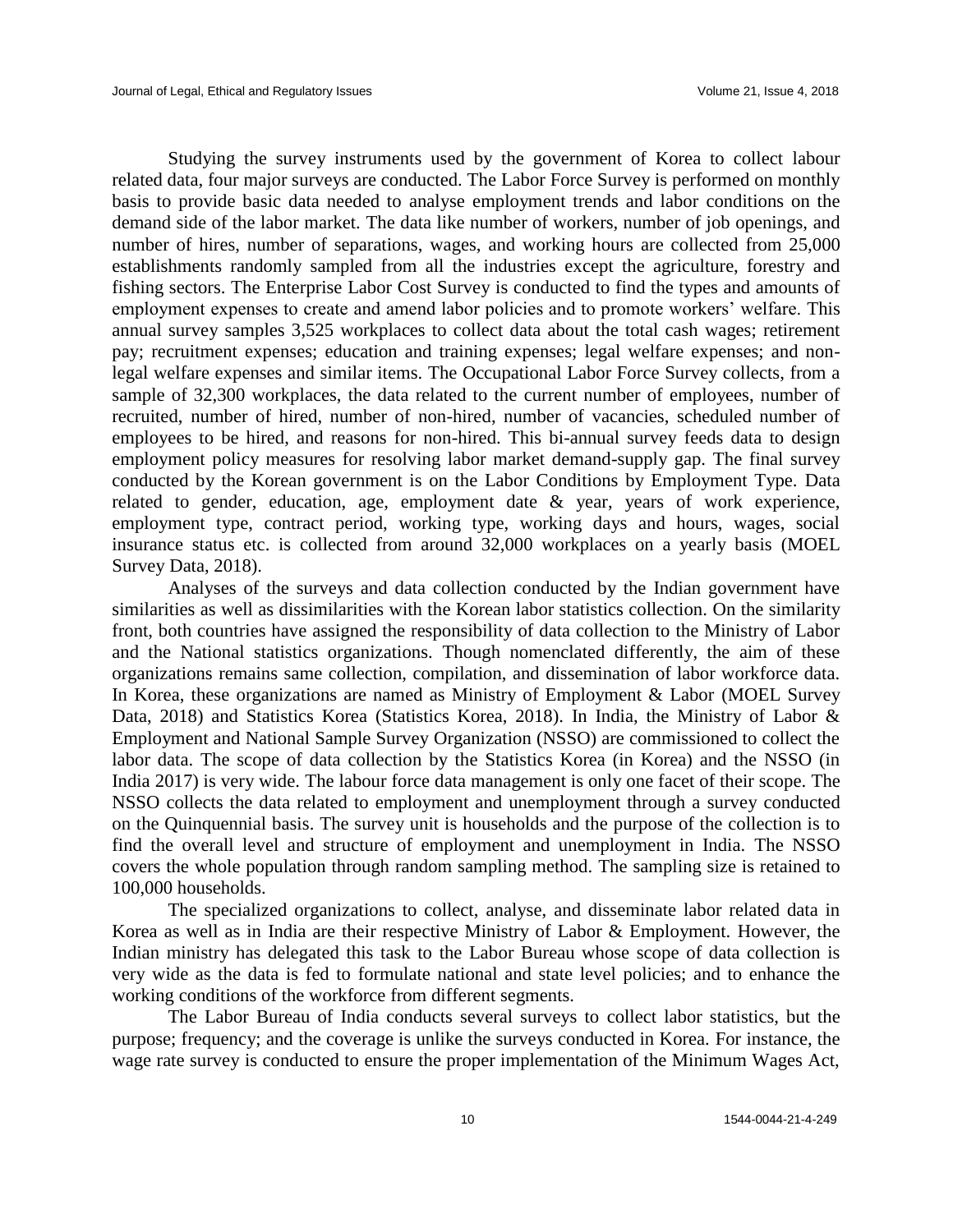Studying the survey instruments used by the government of Korea to collect labour related data, four major surveys are conducted. The Labor Force Survey is performed on monthly basis to provide basic data needed to analyse employment trends and labor conditions on the demand side of the labor market. The data like number of workers, number of job openings, and number of hires, number of separations, wages, and working hours are collected from 25,000 establishments randomly sampled from all the industries except the agriculture, forestry and fishing sectors. The Enterprise Labor Cost Survey is conducted to find the types and amounts of employment expenses to create and amend labor policies and to promote workers' welfare. This annual survey samples 3,525 workplaces to collect data about the total cash wages; retirement pay; recruitment expenses; education and training expenses; legal welfare expenses; and nonlegal welfare expenses and similar items. The Occupational Labor Force Survey collects, from a sample of 32,300 workplaces, the data related to the current number of employees, number of recruited, number of hired, number of non-hired, number of vacancies, scheduled number of employees to be hired, and reasons for non-hired. This bi-annual survey feeds data to design employment policy measures for resolving labor market demand-supply gap. The final survey conducted by the Korean government is on the Labor Conditions by Employment Type. Data related to gender, education, age, employment date & year, years of work experience, employment type, contract period, working type, working days and hours, wages, social insurance status etc. is collected from around 32,000 workplaces on a yearly basis (MOEL Survey Data, 2018).

Analyses of the surveys and data collection conducted by the Indian government have similarities as well as dissimilarities with the Korean labor statistics collection. On the similarity front, both countries have assigned the responsibility of data collection to the Ministry of Labor and the National statistics organizations. Though nomenclated differently, the aim of these organizations remains same collection, compilation, and dissemination of labor workforce data. In Korea, these organizations are named as Ministry of Employment & Labor (MOEL Survey Data, 2018) and Statistics Korea (Statistics Korea, 2018). In India, the Ministry of Labor & Employment and National Sample Survey Organization (NSSO) are commissioned to collect the labor data. The scope of data collection by the Statistics Korea (in Korea) and the NSSO (in India 2017) is very wide. The labour force data management is only one facet of their scope. The NSSO collects the data related to employment and unemployment through a survey conducted on the Quinquennial basis. The survey unit is households and the purpose of the collection is to find the overall level and structure of employment and unemployment in India. The NSSO covers the whole population through random sampling method. The sampling size is retained to 100,000 households.

The specialized organizations to collect, analyse, and disseminate labor related data in Korea as well as in India are their respective Ministry of Labor & Employment. However, the Indian ministry has delegated this task to the Labor Bureau whose scope of data collection is very wide as the data is fed to formulate national and state level policies; and to enhance the working conditions of the workforce from different segments.

The Labor Bureau of India conducts several surveys to collect labor statistics, but the purpose; frequency; and the coverage is unlike the surveys conducted in Korea. For instance, the wage rate survey is conducted to ensure the proper implementation of the Minimum Wages Act,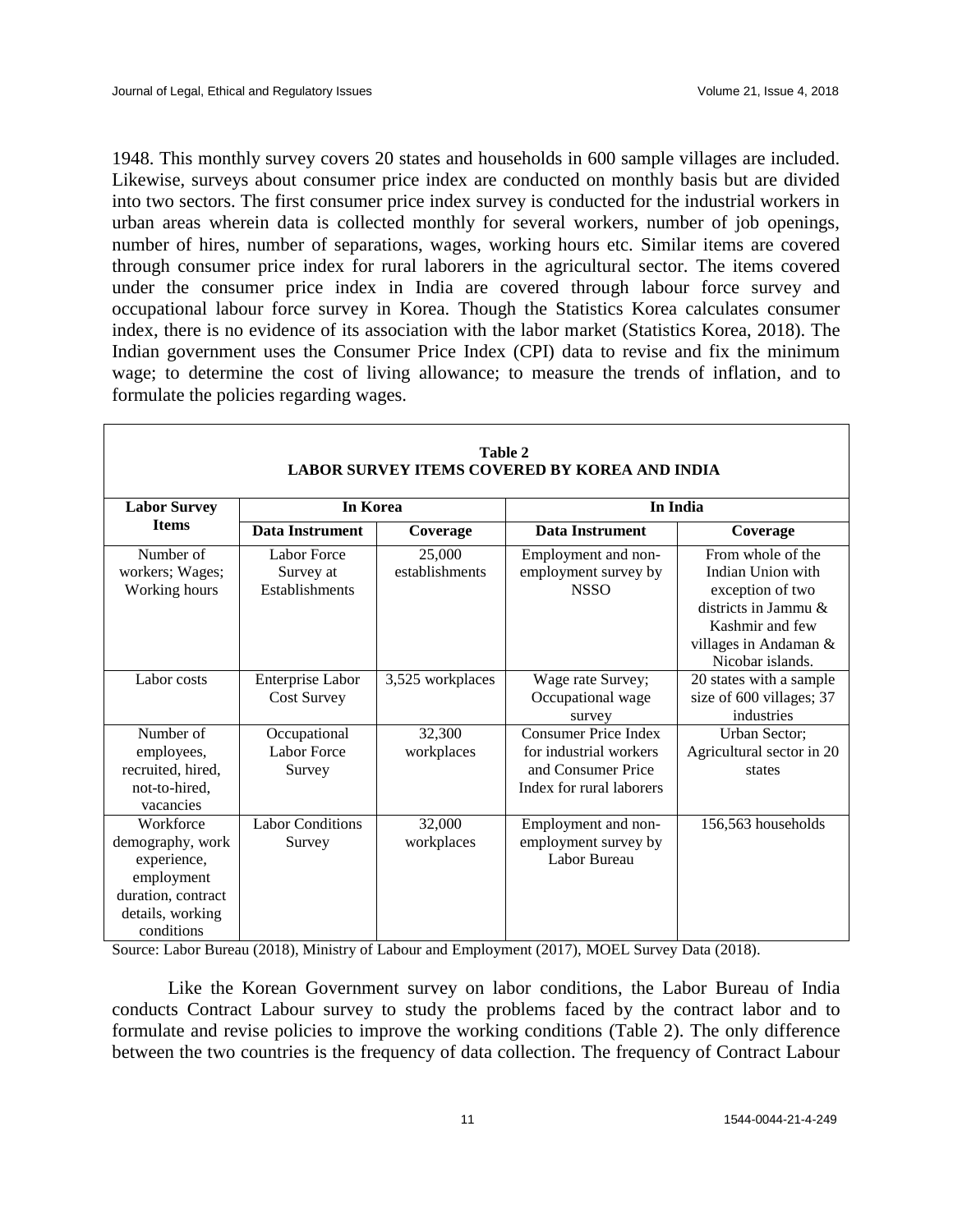1948. This monthly survey covers 20 states and households in 600 sample villages are included. Likewise, surveys about consumer price index are conducted on monthly basis but are divided into two sectors. The first consumer price index survey is conducted for the industrial workers in urban areas wherein data is collected monthly for several workers, number of job openings, number of hires, number of separations, wages, working hours etc. Similar items are covered through consumer price index for rural laborers in the agricultural sector. The items covered under the consumer price index in India are covered through labour force survey and occupational labour force survey in Korea. Though the Statistics Korea calculates consumer index, there is no evidence of its association with the labor market (Statistics Korea, 2018). The Indian government uses the Consumer Price Index (CPI) data to revise and fix the minimum wage; to determine the cost of living allowance; to measure the trends of inflation, and to formulate the policies regarding wages.

| Table 2<br><b>LABOR SURVEY ITEMS COVERED BY KOREA AND INDIA</b>                                                    |                                                          |                          |                                                                                                         |                                                                                                                                                    |  |  |  |  |
|--------------------------------------------------------------------------------------------------------------------|----------------------------------------------------------|--------------------------|---------------------------------------------------------------------------------------------------------|----------------------------------------------------------------------------------------------------------------------------------------------------|--|--|--|--|
| <b>Labor Survey</b>                                                                                                | In Korea                                                 |                          | In India                                                                                                |                                                                                                                                                    |  |  |  |  |
| <b>Items</b>                                                                                                       | <b>Data Instrument</b>                                   | Coverage                 | <b>Data Instrument</b>                                                                                  | Coverage                                                                                                                                           |  |  |  |  |
| Number of<br>workers; Wages;<br>Working hours                                                                      | <b>Labor Force</b><br>Survey at<br><b>Establishments</b> | 25,000<br>establishments | Employment and non-<br>employment survey by<br><b>NSSO</b>                                              | From whole of the<br>Indian Union with<br>exception of two<br>districts in Jammu &<br>Kashmir and few<br>villages in Andaman &<br>Nicobar islands. |  |  |  |  |
| Labor costs                                                                                                        | Enterprise Labor<br><b>Cost Survey</b>                   | 3,525 workplaces         | Wage rate Survey;<br>Occupational wage<br>survey                                                        | 20 states with a sample<br>size of 600 villages; 37<br>industries                                                                                  |  |  |  |  |
| Number of<br>employees,<br>recruited, hired,<br>not-to-hired,<br>vacancies                                         | Occupational<br>Labor Force<br>Survey                    | 32,300<br>workplaces     | <b>Consumer Price Index</b><br>for industrial workers<br>and Consumer Price<br>Index for rural laborers | Urban Sector;<br>Agricultural sector in 20<br>states                                                                                               |  |  |  |  |
| Workforce<br>demography, work<br>experience,<br>employment<br>duration, contract<br>details, working<br>conditions | <b>Labor Conditions</b><br>Survey                        | 32,000<br>workplaces     | Employment and non-<br>employment survey by<br>Labor Bureau                                             | 156,563 households                                                                                                                                 |  |  |  |  |

Source: Labor Bureau (2018), Ministry of Labour and Employment (2017), MOEL Survey Data (2018).

Like the Korean Government survey on labor conditions, the Labor Bureau of India conducts Contract Labour survey to study the problems faced by the contract labor and to formulate and revise policies to improve the working conditions (Table 2). The only difference between the two countries is the frequency of data collection. The frequency of Contract Labour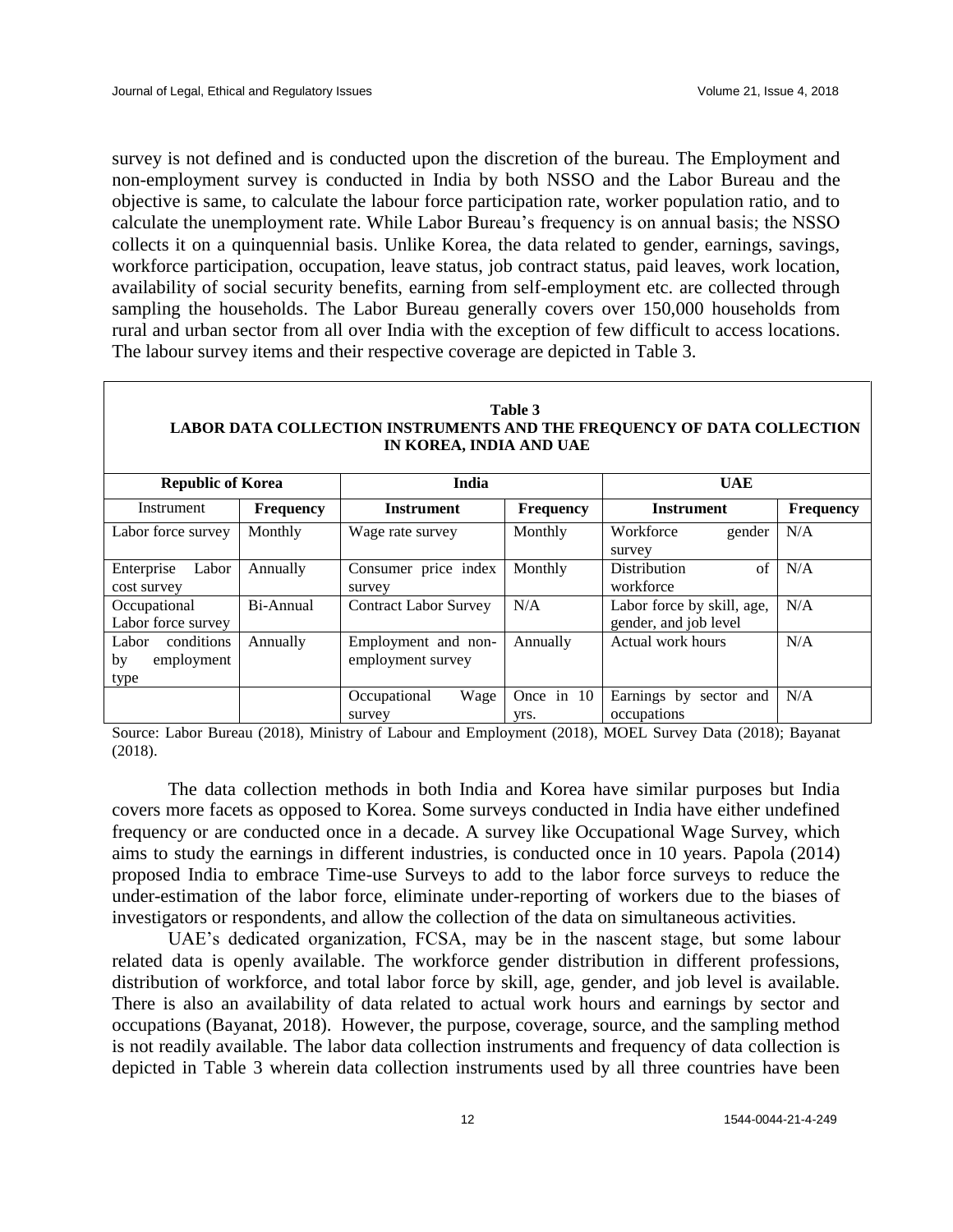survey is not defined and is conducted upon the discretion of the bureau. The Employment and non-employment survey is conducted in India by both NSSO and the Labor Bureau and the objective is same, to calculate the labour force participation rate, worker population ratio, and to calculate the unemployment rate. While Labor Bureau's frequency is on annual basis; the NSSO collects it on a quinquennial basis. Unlike Korea, the data related to gender, earnings, savings, workforce participation, occupation, leave status, job contract status, paid leaves, work location, availability of social security benefits, earning from self-employment etc. are collected through sampling the households. The Labor Bureau generally covers over 150,000 households from rural and urban sector from all over India with the exception of few difficult to access locations. The labour survey items and their respective coverage are depicted in Table 3.

| Table 3<br>LABOR DATA COLLECTION INSTRUMENTS AND THE FREQUENCY OF DATA COLLECTION<br>IN KOREA, INDIA AND UAE |                  |                                          |                    |                                                     |                  |  |  |  |  |
|--------------------------------------------------------------------------------------------------------------|------------------|------------------------------------------|--------------------|-----------------------------------------------------|------------------|--|--|--|--|
| <b>Republic of Korea</b>                                                                                     |                  | <b>India</b>                             |                    | <b>UAE</b>                                          |                  |  |  |  |  |
| Instrument                                                                                                   | <b>Frequency</b> | <b>Instrument</b>                        | <b>Frequency</b>   | <b>Instrument</b>                                   | <b>Frequency</b> |  |  |  |  |
| Labor force survey                                                                                           | Monthly          | Wage rate survey                         | Monthly            | Workforce<br>gender<br>survey                       | N/A              |  |  |  |  |
| Enterprise<br>Labor<br>cost survey                                                                           | Annually         | Consumer price index<br>survey           | Monthly            | of<br><b>Distribution</b><br>workforce              | N/A              |  |  |  |  |
| Occupational<br>Labor force survey                                                                           | Bi-Annual        | <b>Contract Labor Survey</b>             | N/A                | Labor force by skill, age,<br>gender, and job level | N/A              |  |  |  |  |
| Labor<br>conditions<br>employment<br>by<br>type                                                              | Annually         | Employment and non-<br>employment survey | Annually           | Actual work hours                                   | N/A              |  |  |  |  |
|                                                                                                              |                  | Occupational<br>Wage<br>survey           | Once in 10<br>yrs. | Earnings by sector and<br>occupations               | N/A              |  |  |  |  |

Source: Labor Bureau (2018), Ministry of Labour and Employment (2018), MOEL Survey Data (2018); Bayanat (2018).

The data collection methods in both India and Korea have similar purposes but India covers more facets as opposed to Korea. Some surveys conducted in India have either undefined frequency or are conducted once in a decade. A survey like Occupational Wage Survey, which aims to study the earnings in different industries, is conducted once in 10 years. Papola (2014) proposed India to embrace Time-use Surveys to add to the labor force surveys to reduce the under-estimation of the labor force, eliminate under-reporting of workers due to the biases of investigators or respondents, and allow the collection of the data on simultaneous activities.

UAE's dedicated organization, FCSA, may be in the nascent stage, but some labour related data is openly available. The workforce gender distribution in different professions, distribution of workforce, and total labor force by skill, age, gender, and job level is available. There is also an availability of data related to actual work hours and earnings by sector and occupations (Bayanat, 2018). However, the purpose, coverage, source, and the sampling method is not readily available. The labor data collection instruments and frequency of data collection is depicted in Table 3 wherein data collection instruments used by all three countries have been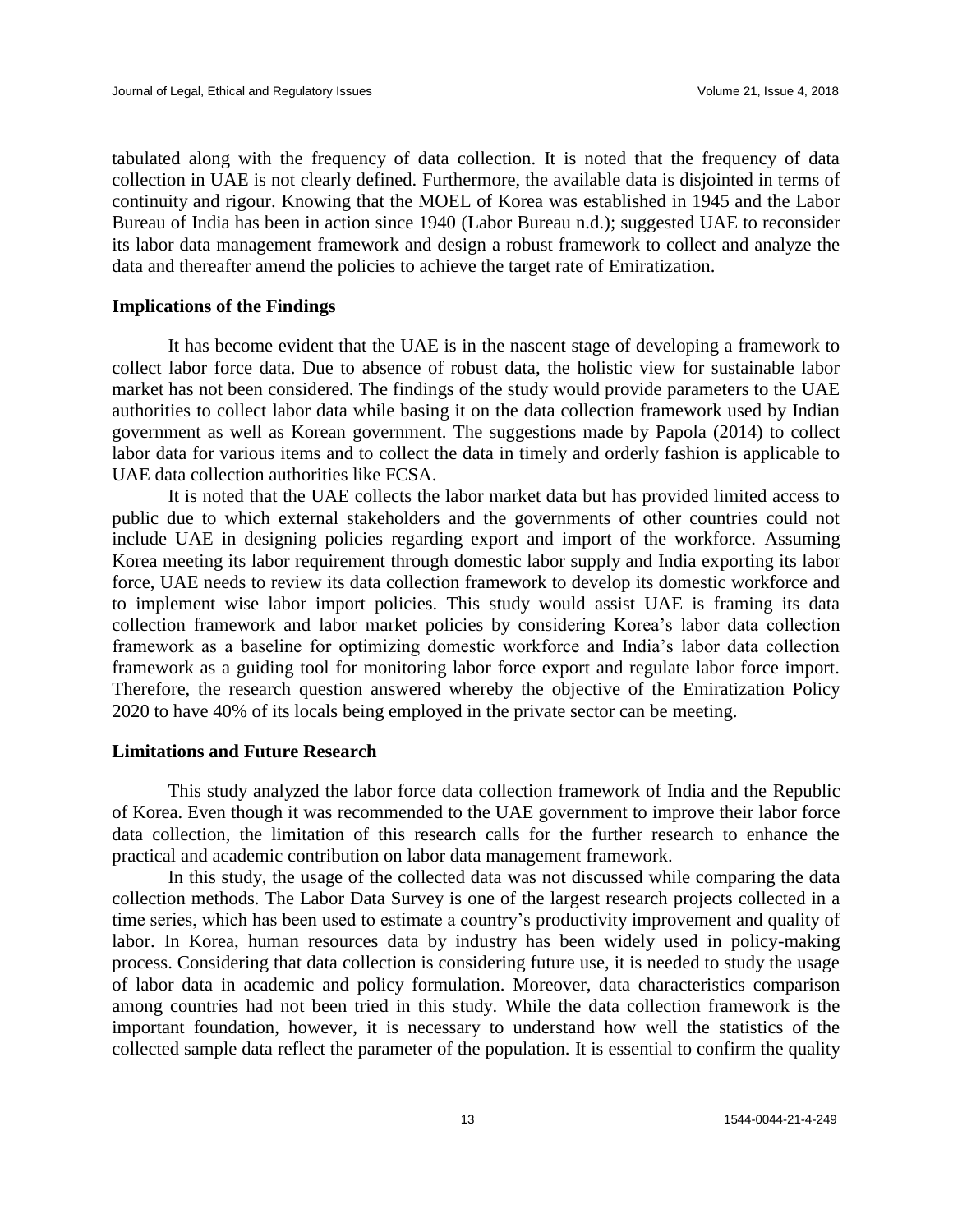tabulated along with the frequency of data collection. It is noted that the frequency of data collection in UAE is not clearly defined. Furthermore, the available data is disjointed in terms of continuity and rigour. Knowing that the MOEL of Korea was established in 1945 and the Labor Bureau of India has been in action since 1940 (Labor Bureau n.d.); suggested UAE to reconsider its labor data management framework and design a robust framework to collect and analyze the data and thereafter amend the policies to achieve the target rate of Emiratization.

# **Implications of the Findings**

It has become evident that the UAE is in the nascent stage of developing a framework to collect labor force data. Due to absence of robust data, the holistic view for sustainable labor market has not been considered. The findings of the study would provide parameters to the UAE authorities to collect labor data while basing it on the data collection framework used by Indian government as well as Korean government. The suggestions made by Papola (2014) to collect labor data for various items and to collect the data in timely and orderly fashion is applicable to UAE data collection authorities like FCSA.

It is noted that the UAE collects the labor market data but has provided limited access to public due to which external stakeholders and the governments of other countries could not include UAE in designing policies regarding export and import of the workforce. Assuming Korea meeting its labor requirement through domestic labor supply and India exporting its labor force, UAE needs to review its data collection framework to develop its domestic workforce and to implement wise labor import policies. This study would assist UAE is framing its data collection framework and labor market policies by considering Korea's labor data collection framework as a baseline for optimizing domestic workforce and India's labor data collection framework as a guiding tool for monitoring labor force export and regulate labor force import. Therefore, the research question answered whereby the objective of the Emiratization Policy 2020 to have 40% of its locals being employed in the private sector can be meeting.

#### **Limitations and Future Research**

This study analyzed the labor force data collection framework of India and the Republic of Korea. Even though it was recommended to the UAE government to improve their labor force data collection, the limitation of this research calls for the further research to enhance the practical and academic contribution on labor data management framework.

In this study, the usage of the collected data was not discussed while comparing the data collection methods. The Labor Data Survey is one of the largest research projects collected in a time series, which has been used to estimate a country's productivity improvement and quality of labor. In Korea, human resources data by industry has been widely used in policy-making process. Considering that data collection is considering future use, it is needed to study the usage of labor data in academic and policy formulation. Moreover, data characteristics comparison among countries had not been tried in this study. While the data collection framework is the important foundation, however, it is necessary to understand how well the statistics of the collected sample data reflect the parameter of the population. It is essential to confirm the quality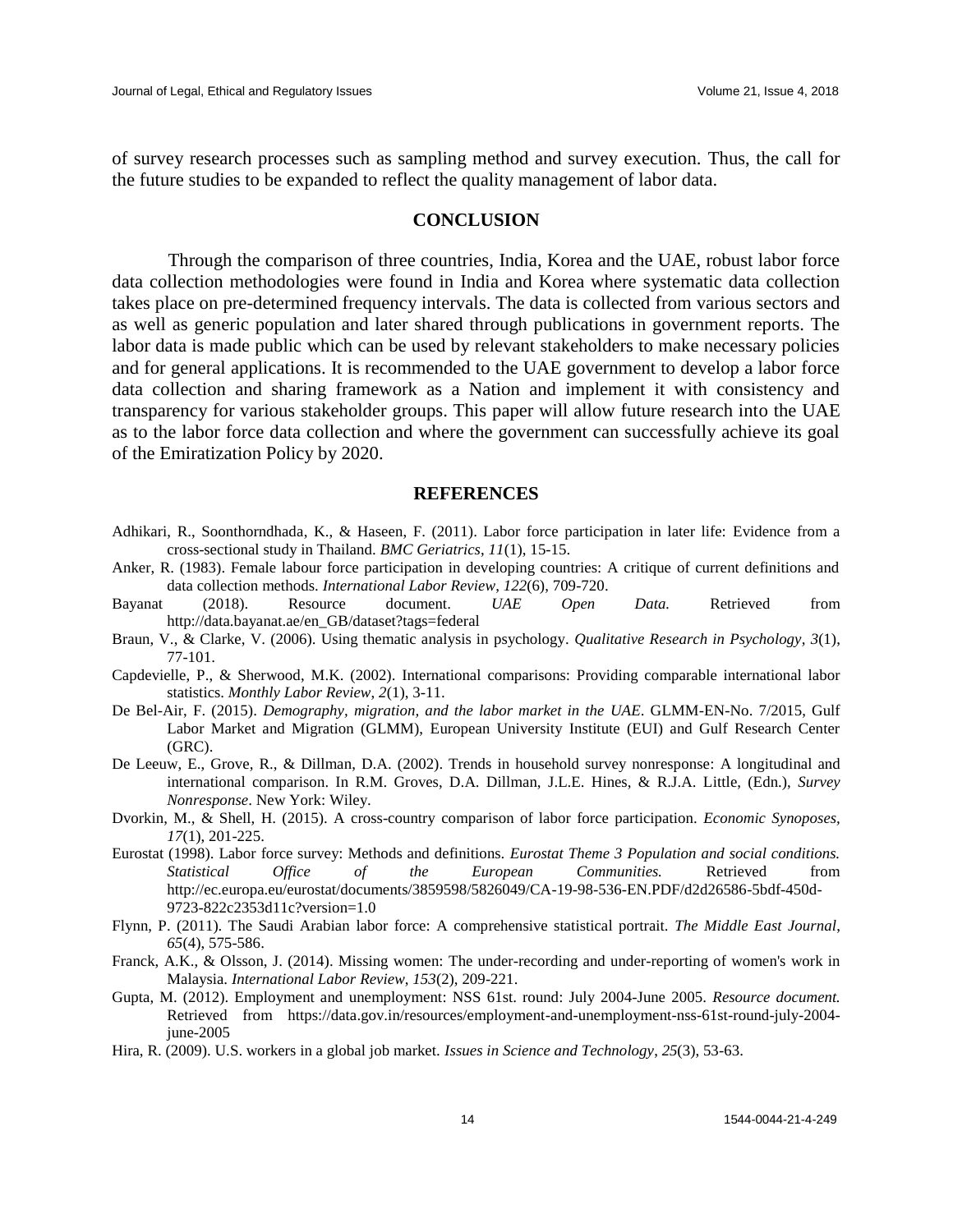of survey research processes such as sampling method and survey execution. Thus, the call for the future studies to be expanded to reflect the quality management of labor data.

### **CONCLUSION**

Through the comparison of three countries, India, Korea and the UAE, robust labor force data collection methodologies were found in India and Korea where systematic data collection takes place on pre-determined frequency intervals. The data is collected from various sectors and as well as generic population and later shared through publications in government reports. The labor data is made public which can be used by relevant stakeholders to make necessary policies and for general applications. It is recommended to the UAE government to develop a labor force data collection and sharing framework as a Nation and implement it with consistency and transparency for various stakeholder groups. This paper will allow future research into the UAE as to the labor force data collection and where the government can successfully achieve its goal of the Emiratization Policy by 2020.

#### **REFERENCES**

- Adhikari, R., Soonthorndhada, K., & Haseen, F. (2011). Labor force participation in later life: Evidence from a cross-sectional study in Thailand. *BMC Geriatrics*, *11*(1), 15-15.
- Anker, R. (1983). Female labour force participation in developing countries: A critique of current definitions and data collection methods. *International Labor Review*, *122*(6), 709-720.
- Bayanat (2018). Resource document. *UAE Open Data.* Retrieved from [http://data.bayanat.ae/en\\_GB/dataset?tags=federal](http://data.bayanat.ae/en_GB/dataset?tags=federal)
- Braun, V., & Clarke, V. (2006). Using thematic analysis in psychology. *Qualitative Research in Psychology*, *3*(1), 77-101.
- Capdevielle, P., & Sherwood, M.K. (2002). International comparisons: Providing comparable international labor statistics. *Monthly Labor Review*, *2*(1), 3-11.
- De Bel-Air, F. (2015). *Demography, migration, and the labor market in the UAE*. GLMM-EN-No. 7/2015, Gulf Labor Market and Migration (GLMM), European University Institute (EUI) and Gulf Research Center (GRC).
- De Leeuw, E., Grove, R., & Dillman, D.A. (2002). Trends in household survey nonresponse: A longitudinal and international comparison. In R.M. Groves, D.A. Dillman, J.L.E. Hines, & R.J.A. Little, (Edn.), *Survey Nonresponse*. New York: Wiley.
- Dvorkin, M., & Shell, H. (2015). A cross-country comparison of labor force participation. *Economic Synoposes, 17*(1), 201-225.
- Eurostat (1998). Labor force survey: Methods and definitions. *Eurostat Theme 3 Population and social conditions. Statistical Office of the European Communities.* Retrieved from [http://ec.europa.eu/eurostat/documents/3859598/5826049/CA-19-98-536-EN.PDF/d2d26586-5bdf-450d-](http://ec.europa.eu/eurostat/documents/3859598/5826049/CA-19-98-536-EN.PDF/d2d26586-5bdf-450d-9723-822c2353d11c?version=1.0)[9723-822c2353d11c?version=1.0](http://ec.europa.eu/eurostat/documents/3859598/5826049/CA-19-98-536-EN.PDF/d2d26586-5bdf-450d-9723-822c2353d11c?version=1.0)
- Flynn, P. (2011). The Saudi Arabian labor force: A comprehensive statistical portrait. *The Middle East Journal*, *65*(4), 575-586.
- Franck, A.K., & Olsson, J. (2014). Missing women: The under-recording and under-reporting of women's work in Malaysia. *International Labor Review*, *153*(2), 209-221.
- Gupta, M. (2012). Employment and unemployment: NSS 61st. round: July 2004-June 2005. *Resource document.* Retrieved from [https://data.gov.in/resources/employment-and-unemployment-nss-61st-round-july-2004](https://data.gov.in/resources/employment-and-unemployment-nss-61st-round-july-2004-june-2005) [june-2005](https://data.gov.in/resources/employment-and-unemployment-nss-61st-round-july-2004-june-2005)
- Hira, R. (2009). U.S. workers in a global job market. *Issues in Science and Technology*, *25*(3), 53-63.